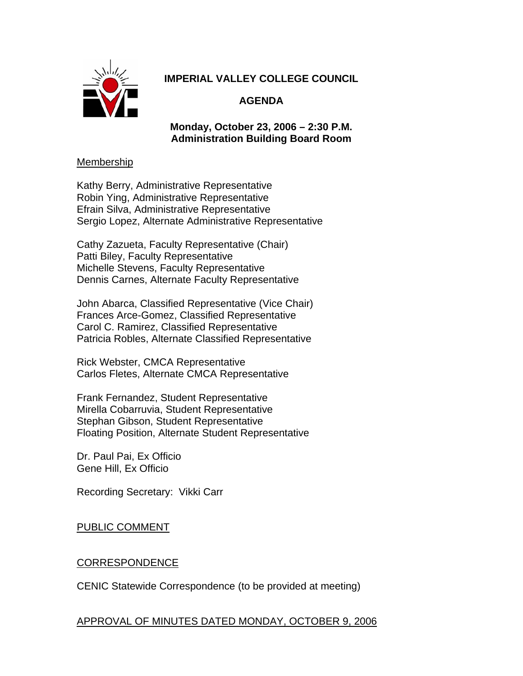

# **IMPERIAL VALLEY COLLEGE COUNCIL**

# **AGENDA**

## **Monday, October 23, 2006 – 2:30 P.M. Administration Building Board Room**

#### Membership

Kathy Berry, Administrative Representative Robin Ying, Administrative Representative Efrain Silva, Administrative Representative Sergio Lopez, Alternate Administrative Representative

Cathy Zazueta, Faculty Representative (Chair) Patti Biley, Faculty Representative Michelle Stevens, Faculty Representative Dennis Carnes, Alternate Faculty Representative

John Abarca, Classified Representative (Vice Chair) Frances Arce-Gomez, Classified Representative Carol C. Ramirez, Classified Representative Patricia Robles, Alternate Classified Representative

Rick Webster, CMCA Representative Carlos Fletes, Alternate CMCA Representative

Frank Fernandez, Student Representative Mirella Cobarruvia, Student Representative Stephan Gibson, Student Representative Floating Position, Alternate Student Representative

Dr. Paul Pai, Ex Officio Gene Hill, Ex Officio

Recording Secretary: Vikki Carr

PUBLIC COMMENT

### CORRESPONDENCE

CENIC Statewide Correspondence (to be provided at meeting)

### APPROVAL OF MINUTES DATED MONDAY, OCTOBER 9, 2006